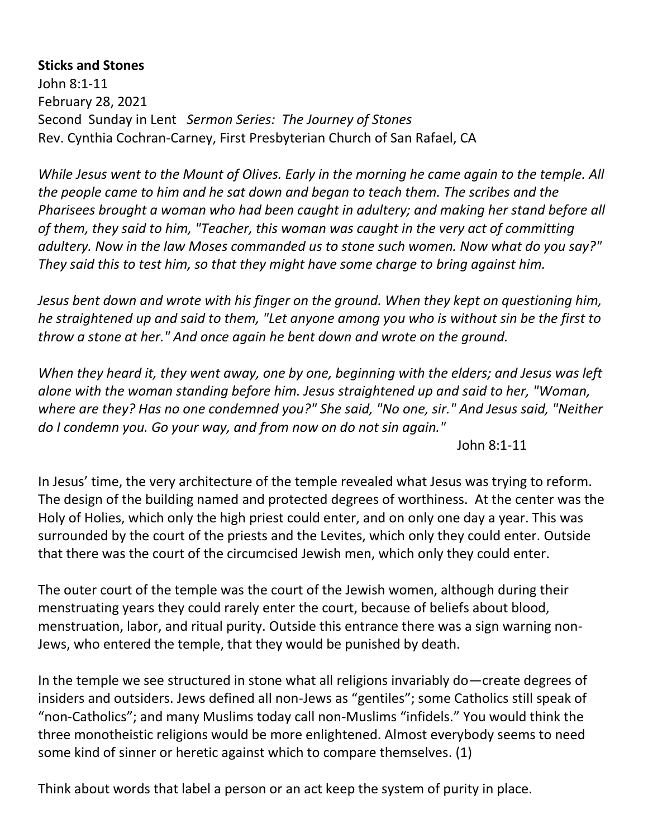## **Sticks and Stones**

John 8:1-11 February 28, 2021 Second Sunday in Lent *Sermon Series: The Journey of Stones* Rev. Cynthia Cochran-Carney, First Presbyterian Church of San Rafael, CA

*While Jesus went to the Mount of Olives. Early in the morning he came again to the temple. All the people came to him and he sat down and began to teach them. The scribes and the Pharisees brought a woman who had been caught in adultery; and making her stand before all of them, they said to him, "Teacher, this woman was caught in the very act of committing adultery. Now in the law Moses commanded us to stone such women. Now what do you say?" They said this to test him, so that they might have some charge to bring against him.* 

*Jesus bent down and wrote with his finger on the ground. When they kept on questioning him, he straightened up and said to them, "Let anyone among you who is without sin be the first to throw a stone at her." And once again he bent down and wrote on the ground.* 

*When they heard it, they went away, one by one, beginning with the elders; and Jesus was left alone with the woman standing before him. Jesus straightened up and said to her, "Woman, where are they? Has no one condemned you?" She said, "No one, sir." And Jesus said, "Neither do I condemn you. Go your way, and from now on do not sin again."*

John 8:1-11

In Jesus' time, the very architecture of the temple revealed what Jesus was trying to reform. The design of the building named and protected degrees of worthiness. At the center was the Holy of Holies, which only the high priest could enter, and on only one day a year. This was surrounded by the court of the priests and the Levites, which only they could enter. Outside that there was the court of the circumcised Jewish men, which only they could enter.

The outer court of the temple was the court of the Jewish women, although during their menstruating years they could rarely enter the court, because of beliefs about blood, menstruation, labor, and ritual purity. Outside this entrance there was a sign warning non-Jews, who entered the temple, that they would be punished by death.

In the temple we see structured in stone what all religions invariably do—create degrees of insiders and outsiders. Jews defined all non-Jews as "gentiles"; some Catholics still speak of "non-Catholics"; and many Muslims today call non-Muslims "infidels." You would think the three monotheistic religions would be more enlightened. Almost everybody seems to need some kind of sinner or heretic against which to compare themselves. (1)

Think about words that label a person or an act keep the system of purity in place.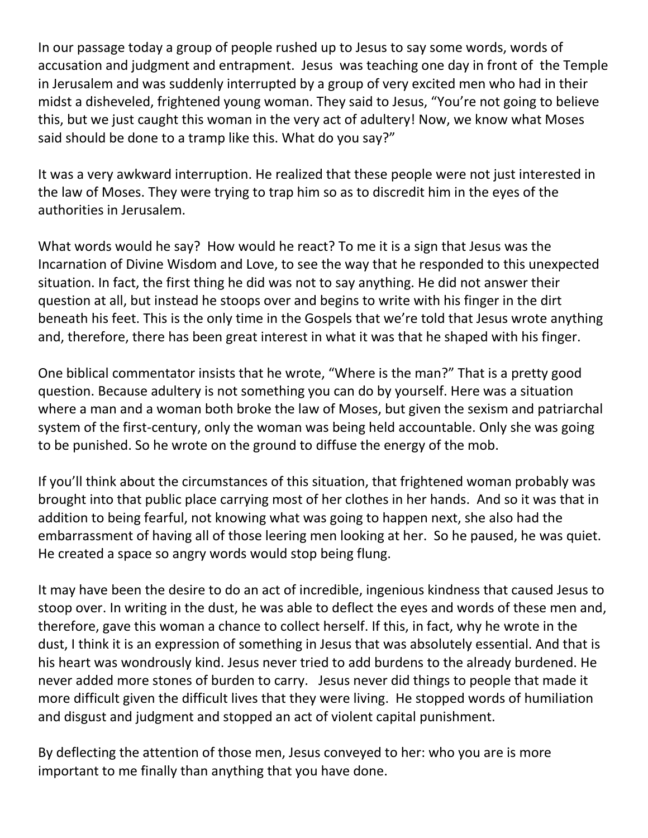In our passage today a group of people rushed up to Jesus to say some words, words of accusation and judgment and entrapment. Jesus was teaching one day in front of the Temple in Jerusalem and was suddenly interrupted by a group of very excited men who had in their midst a disheveled, frightened young woman. They said to Jesus, "You're not going to believe this, but we just caught this woman in the very act of adultery! Now, we know what Moses said should be done to a tramp like this. What do you say?"

It was a very awkward interruption. He realized that these people were not just interested in the law of Moses. They were trying to trap him so as to discredit him in the eyes of the authorities in Jerusalem.

What words would he say? How would he react? To me it is a sign that Jesus was the Incarnation of Divine Wisdom and Love, to see the way that he responded to this unexpected situation. In fact, the first thing he did was not to say anything. He did not answer their question at all, but instead he stoops over and begins to write with his finger in the dirt beneath his feet. This is the only time in the Gospels that we're told that Jesus wrote anything and, therefore, there has been great interest in what it was that he shaped with his finger.

One biblical commentator insists that he wrote, "Where is the man?" That is a pretty good question. Because adultery is not something you can do by yourself. Here was a situation where a man and a woman both broke the law of Moses, but given the sexism and patriarchal system of the first-century, only the woman was being held accountable. Only she was going to be punished. So he wrote on the ground to diffuse the energy of the mob.

If you'll think about the circumstances of this situation, that frightened woman probably was brought into that public place carrying most of her clothes in her hands. And so it was that in addition to being fearful, not knowing what was going to happen next, she also had the embarrassment of having all of those leering men looking at her. So he paused, he was quiet. He created a space so angry words would stop being flung.

It may have been the desire to do an act of incredible, ingenious kindness that caused Jesus to stoop over. In writing in the dust, he was able to deflect the eyes and words of these men and, therefore, gave this woman a chance to collect herself. If this, in fact, why he wrote in the dust, I think it is an expression of something in Jesus that was absolutely essential. And that is his heart was wondrously kind. Jesus never tried to add burdens to the already burdened. He never added more stones of burden to carry. Jesus never did things to people that made it more difficult given the difficult lives that they were living. He stopped words of humiliation and disgust and judgment and stopped an act of violent capital punishment.

By deflecting the attention of those men, Jesus conveyed to her: who you are is more important to me finally than anything that you have done.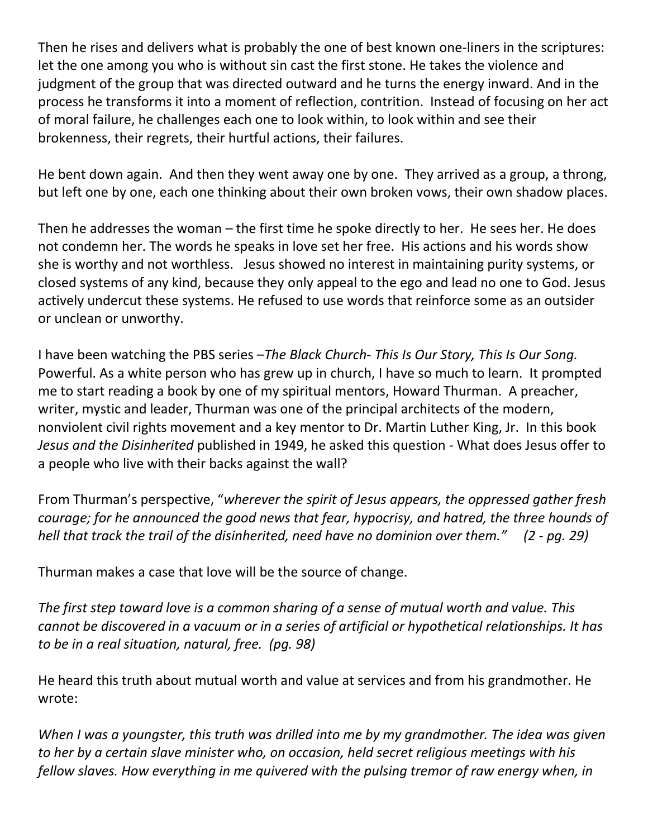Then he rises and delivers what is probably the one of best known one-liners in the scriptures: let the one among you who is without sin cast the first stone. He takes the violence and judgment of the group that was directed outward and he turns the energy inward. And in the process he transforms it into a moment of reflection, contrition. Instead of focusing on her act of moral failure, he challenges each one to look within, to look within and see their brokenness, their regrets, their hurtful actions, their failures.

He bent down again. And then they went away one by one. They arrived as a group, a throng, but left one by one, each one thinking about their own broken vows, their own shadow places.

Then he addresses the woman – the first time he spoke directly to her. He sees her. He does not condemn her. The words he speaks in love set her free. His actions and his words show she is worthy and not worthless. Jesus showed no interest in maintaining purity systems, or closed systems of any kind, because they only appeal to the ego and lead no one to God. Jesus actively undercut these systems. He refused to use words that reinforce some as an outsider or unclean or unworthy.

I have been watching the PBS series –*The Black Church- This Is Our Story, This Is Our Song.*  Powerful. As a white person who has grew up in church, I have so much to learn. It prompted me to start reading a book by one of my spiritual mentors, Howard Thurman. A preacher, writer, mystic and leader, Thurman was one of the principal architects of the modern, nonviolent civil rights movement and a key mentor to Dr. Martin Luther King, Jr. In this book *Jesus and the Disinherited* published in 1949, he asked this question *-* What does Jesus offer to a people who live with their backs against the wall?

From Thurman's perspective, "*wherever the spirit of Jesus appears, the oppressed gather fresh courage; for he announced the good news that fear, hypocrisy, and hatred, the three hounds of hell that track the trail of the disinherited, need have no dominion over them." (2 - pg. 29)*

Thurman makes a case that love will be the source of change.

*The first step toward love is a common sharing of a sense of mutual worth and value. This cannot be discovered in a vacuum or in a series of artificial or hypothetical relationships. It has to be in a real situation, natural, free. (pg. 98)*

He heard this truth about mutual worth and value at services and from his grandmother. He wrote:

*When I was a youngster, this truth was drilled into me by my grandmother. The idea was given to her by a certain slave minister who, on occasion, held secret religious meetings with his fellow slaves. How everything in me quivered with the pulsing tremor of raw energy when, in*